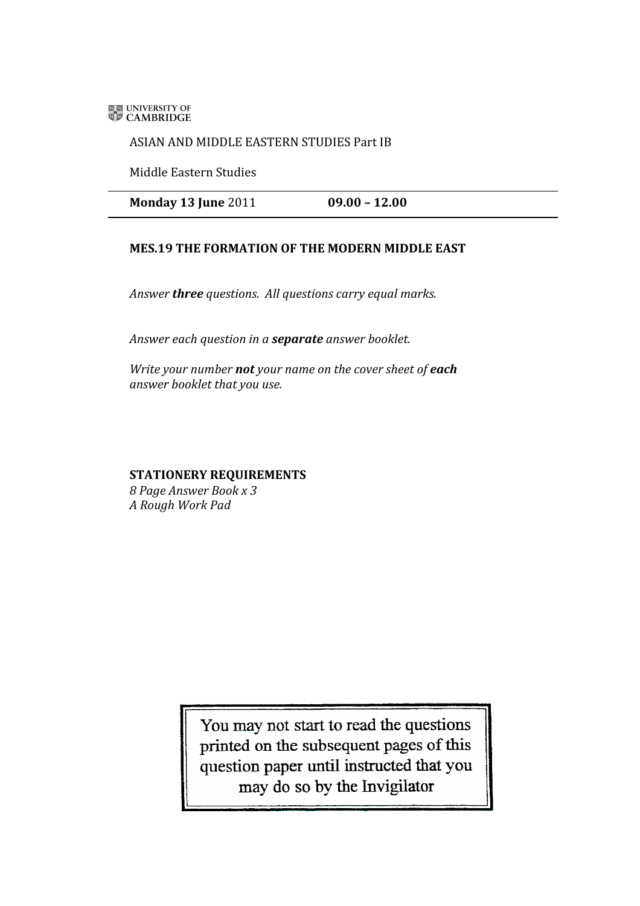**ELE UNIVERSITY OF** 

## ASIAN AND MIDDLE EASTERN STUDIES Part IB

Middle Eastern Studies

**Monday 13 June** 2011 **09.00 – 12.00**

## **MES.19 THE FORMATION OF THE MODERN MIDDLE EAST**

*Answer three questions. All questions carry equal marks.* 

*Answer each question in a separate answer booklet.*

*Write your number not your name on the cover sheet of each answer booklet that you use.*

## **STATIONERY REQUIREMENTS**

*8 Page Answer Book x 3 A Rough Work Pad* 

> You may not start to read the questions printed on the subsequent pages of this question paper until instructed that you may do so by the Invigilator